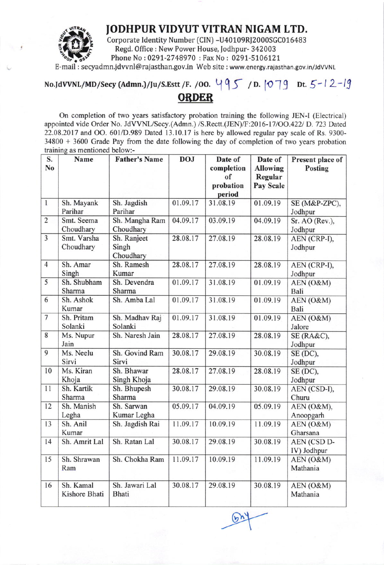

JODHPUR VIDYUT VITRAN NIGAM LTD.<br>Corporate Identity Number (CIN) -U40109RJ2000SGC016483<br>Regd. Office : New Power House, Jodhpur- 342003 Phone No: 0291-2748970 : Fax No: 0291-5106121

E-mail : secyadmn.jdvvnl@rajasthan.gov.in Web site : www.energy.rajasthan.gov.in/JdVVNL

## No.JdVVNL/MD/Secy (Admn.)/Ju/S.Estt /F. /00.  $\{95, 1079, 0155\}$  Dt.  $5-12-19$ ORDER

On completion of two years satisfactory probation training the following JEN-I (Electrical) appointed vide Order No. JdVVNL/Secy.(Admn.) /S.Rectt.(JEN)/F:2016-17/OO.422/ D. 723 Dated  $22.08.2017$  and OO. 601/D.989 Dated 13.10.17 is here by allowed regular pay scale of Rs. 9300-34800 + 3600 Crade Pay from the date following the day of completion of two years probation training as mentioned below:-

| S.<br>No       | <b>Name</b>                | <b>Father's Name</b>              | <b>DOJ</b> | Date of<br>completion     | Date of<br><b>Allowing</b> | Present place of<br>Posting |
|----------------|----------------------------|-----------------------------------|------------|---------------------------|----------------------------|-----------------------------|
|                |                            |                                   |            | of<br>probation<br>period | Regular<br>Pay Scale       |                             |
| $\mathbf{1}$   | Sh. Mayank<br>Parihar      | Sh. Jagdish<br>Parihar            | 01.09.17   | 31.08.19                  | 01.09.19                   | SE (M&P-ZPC),<br>Jodhpur    |
| $\overline{2}$ | Smt. Seema<br>Choudhary    | Sh. Mangha Ram<br>Choudhary       | 04.09.17   | 03.09.19                  | 04.09.19                   | Sr. AO (Rev.),<br>Jodhpur   |
| $\overline{3}$ | Smt. Varsha<br>Choudhary   | Sh. Ranjeet<br>Singh<br>Choudhary | 28.08.17   | 27.08.19                  | 28.08.19                   | AEN (CRP-I),<br>Jodhpur     |
| $\overline{4}$ | Sh. Amar<br>Singh          | Sh. Ramesh<br>Kumar               | 28.08.17   | 27.08.19                  | 28.08.19                   | AEN (CRP-I),<br>Jodhpur     |
| 5              | Sh. Shubham<br>Sharma      | Sh. Devendra<br>Sharma            | 01.09.17   | 31.08.19                  | 01.09.19                   | AEN (O&M)<br>Bali           |
| 6              | Sh. Ashok<br>Kumar         | Sh. Amba Lal                      | 01.09.17   | 31.08.19                  | 01.09.19                   | AEN (O&M)<br>Bali           |
| $\overline{7}$ | Sh. Pritam<br>Solanki      | Sh. Madhav Raj<br>Solanki         | 01.09.17   | 31.08.19                  | 01.09.19                   | AEN (O&M)<br>Jalore         |
| 8              | Ms. Nupur<br>Jain          | Sh. Naresh Jain                   | 28.08.17   | 27.08.19                  | 28.08.19                   | SE (RA&C),<br>Jodhpur       |
| 9              | Ms. Neelu<br>Sirvi         | Sh. Govind Ram<br>Sirvi           | 30.08.17   | 29.08.19                  | 30.08.19                   | SE (DC),<br>Jodhpur         |
| 10             | Ms. Kiran<br>Khoja         | Sh. Bhawar<br>Singh Khoja         | 28.08.17   | 27.08.19                  | 28.08.19                   | SE (DC),<br>Jodhpur         |
| 11             | Sh. Kartik<br>Sharma       | Sh. Bhupesh<br>Sharma             | 30.08.17   | 29.08.19                  | 30.08.19                   | AEN (CSD-I),<br>Churu       |
| 12             | Sh. Manish<br>Legha        | Sh. Sarwan<br>Kumar Legha         | 05.09.17   | 04.09.19                  | 05.09.19                   | AEN (O&M),<br>Anoopgarh     |
| 13             | Sh. Anil<br>Kumar          | Sh. Jagdish Rai                   | 11.09.17   | 10.09.19                  | 11.09.19                   | AEN (O&M)<br>Gharsana       |
| 14             | Sh. Amrit Lal              | Sh. Ratan Lal                     | 30.08.17   | 29.08.19                  | 30.08.19                   | AEN (CSD D-<br>IV) Jodhpur  |
| 15             | Sh. Shrawan<br>Ram         | Sh. Chokha Ram                    | 11.09.17   | 10.09.19                  | 11.09.19                   | AEN (O&M)<br>Mathania       |
| 16             | Sh. Kamal<br>Kishore Bhati | Sh. Jawari Lal<br>Bhati           | 30.08.17   | 29.08.19                  | 30.08.19                   | AEN (O&M)<br>Mathania       |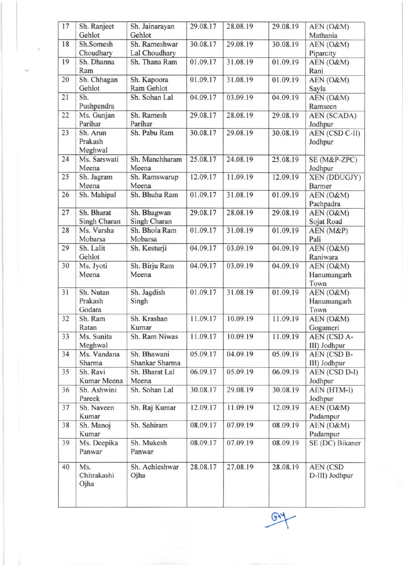| 17 | Sh. Ranjeet  | Sh. Jainarayan | 29.08.17 | 28.08.19 | 29.08.19 | AEN (O&M)             |
|----|--------------|----------------|----------|----------|----------|-----------------------|
|    | Gehlot       | Gehlot         |          |          |          | Mathania              |
| 18 | Sh.Somesh    | Sh. Rameshwar  | 30.08.17 | 29.08.19 | 30.08.19 | AEN (O&M)             |
|    | Choudhary    | Lal Choudhary  |          |          |          | Piparcity             |
| 19 | Sh. Dhanna   | Sh. Thana Ram  | 01.09.17 | 31.08.19 | 01.09.19 | AEN (O&M)             |
|    | Ram          |                |          |          |          | Rani                  |
| 20 | Sh. Chhagan  | Sh. Kapoora    | 01.09.17 | 31.08.19 | 01.09.19 | AEN (O&M)             |
|    | Gehlot       | Ram Gehlot     |          |          |          | Sayla                 |
| 21 | Sh.          | Sh. Sohan Lal  | 04.09.17 | 03.09.19 | 04.09.19 | AEN (O&M)             |
|    | Pushpendra   |                |          |          |          | Ramseen               |
| 22 | Ms. Gunjan   | Sh. Ramesh     | 29.08.17 | 28.08.19 | 29.08.19 | <b>AEN (SCADA)</b>    |
|    | Parihar      | Parihar        |          |          |          | Jodhpur               |
| 23 | Sh. Arun     | Sh. Pabu Ram   | 30.08.17 | 29.08.19 | 30.08.19 | <b>AEN (CSD C-II)</b> |
|    | Prakash      |                |          |          |          | Jodhpur               |
|    | Meghwal      |                |          |          |          |                       |
| 24 | Ms. Sarswati | Sh. Manchharam | 25.08.17 | 24.08.19 | 25.08.19 | SE (M&P-ZPC)          |
|    | Meena        | Meena          |          |          |          | Jodhpur               |
| 25 | Sh. Jagram   | Sh. Ramswarup  | 12.09.17 | 11.09.19 | 12.09.19 | <b>XEN (DDUGJY)</b>   |
|    | Meena        | Meena          |          |          |          | <b>Barmer</b>         |
| 26 | Sh. Mahipal  | Sh. Bhuha Ram  | 01.09.17 | 31.08.19 | 01.09.19 | AEN (O&M)             |
|    |              |                |          |          |          | Pachpadra             |
| 27 | Sh. Bharat   | Sh. Bhagwan    | 29.08.17 | 28.08.19 | 29.08.19 | AEN (O&M)             |
|    | Singh Charan | Singh Charan   |          |          |          | Sojat Road            |
| 28 | Ms. Varsha   | Sh. Bhola Ram  | 01.09.17 | 31.08.19 | 01.09.19 | AEN (M&P)             |
|    | Mobarsa      | Mobarsa        |          |          |          | Pali                  |
| 29 | Sh. Lalit    | Sh. Kesturji   | 04.09.17 | 03.09.19 | 04.09.19 | AEN (O&M)             |
|    | Gehlot       |                |          |          |          | Raniwara              |
| 30 | Ms. Jyoti    | Sh. Birju Ram  | 04.09.17 | 03.09.19 | 04.09.19 | AEN (O&M)             |
|    | Meena        | Meena          |          |          |          | Hanumangarh           |
|    |              |                |          |          |          | Town                  |
| 31 | Sh. Nutan    | Sh. Jagdish    | 01.09.17 | 31.08.19 | 01.09.19 | AEN (O&M)             |
|    | Prakash      | Singh          |          |          |          | Hanumangarh           |
|    | Godara       |                |          |          |          | Town                  |
| 32 | Sh. Ram      | Sh. Krashan    | 11.09.17 | 10.09.19 | 11.09.19 | AEN (O&M)             |
|    | Ratan        | Kumar          |          |          |          | Gogameri              |
| 33 | Ms. Sunita   | Sh. Ram Niwas  | 11.09.17 | 10.09.19 | 11.09.19 | AEN (CSD A-           |
|    | Meghwal      |                |          |          |          | III) Jodhpur          |
| 34 | Ms. Vandana  | Sh. Bhawani    | 05.09.17 | 04.09.19 | 05.09.19 | AEN (CSD B-           |
|    | Sharma       | Shankar Sharma |          |          |          | III) Jodhpur          |
| 35 | Sh. Ravi     | Sh. Bharat Lal | 06.09.17 | 05.09.19 | 06.09.19 | AEN (CSD D-I)         |
|    | Kumar Meena  | Meena          |          |          |          | Jodhpur               |
| 36 | Sh. Ashwini  | Sh. Sohan Lal  | 30.08.17 | 29.08.19 | 30.08.19 | AEN (HTM-I)           |
|    | Pareek       |                |          |          |          | Jodhpur               |
| 37 | Sh. Naveen   | Sh. Raj Kumar  | 12.09.17 | 11.09.19 | 12.09.19 | AEN (O&M)             |
|    | Kumar        |                |          |          |          | Padampur              |
| 38 | Sh. Manoj    | Sh. Sahiram    | 08.09.17 | 07.09.19 | 08.09.19 | AEN (O&M)             |
|    | Kumar        |                |          |          |          | Padampur              |
| 39 | Ms. Deepika  | Sh. Mukesh     | 08.09.17 | 07.09.19 | 08.09.19 | SE (DC) Bikaner       |
|    | Panwar       | Panwar         |          |          |          |                       |
|    |              |                |          |          |          |                       |
| 40 | Ms.          | Sh. Achleshwar | 28.08.17 | 27.08.19 | 28.08.19 | <b>AEN (CSD</b>       |
|    | Chitrakashi  | Ojha           |          |          |          | D-III) Jodhpur        |
|    | Ojha         |                |          |          |          |                       |
|    |              |                |          |          |          |                       |
|    |              |                |          |          |          |                       |

 $\mathbb{R}$